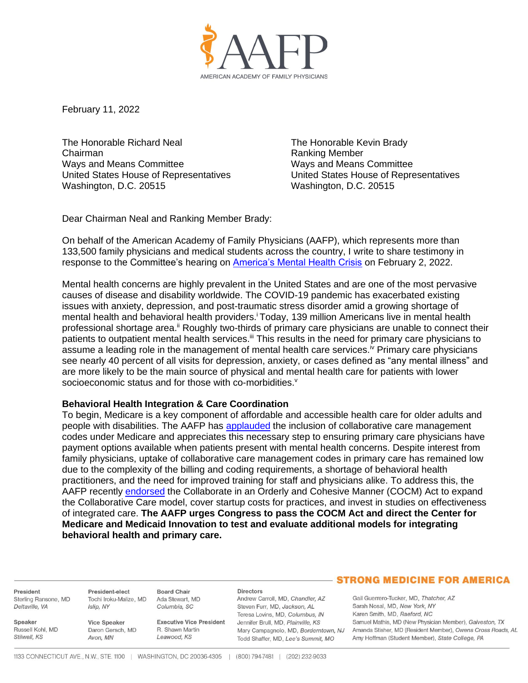

February 11, 2022

The Honorable Richard Neal Chairman Ways and Means Committee United States House of Representatives Washington, D.C. 20515

The Honorable Kevin Brady Ranking Member Ways and Means Committee United States House of Representatives Washington, D.C. 20515

Dear Chairman Neal and Ranking Member Brady:

On behalf of the American Academy of Family Physicians (AAFP), which represents more than 133,500 family physicians and medical students across the country, I write to share testimony in response to the Committee's hearing on [America's Mental Health Crisis](https://waysandmeans.house.gov/legislation/hearings/america-s-mental-health-crisis) on February 2, 2022.

Mental health concerns are highly prevalent in the United States and are one of the most pervasive causes of disease and disability worldwide. The COVID-19 pandemic has exacerbated existing issues with anxiety, depression, and post-traumatic stress disorder amid a growing shortage of mental health and behavioral health providers.<sup>i</sup> Today, 139 million Americans live in mental health professional shortage area.<sup>ii</sup> Roughly two-thirds of primary care physicians are unable to connect their patients to outpatient mental health services.<sup>iii</sup> This results in the need for primary care physicians to assume a leading role in the management of mental health care services.<sup>iv</sup> Primary care physicians see nearly 40 percent of all visits for depression, anxiety, or cases defined as "any mental illness" and are more likely to be the main source of physical and mental health care for patients with lower socioeconomic status and for those with co-morbidities.<sup>v</sup>

# **Behavioral Health Integration & Care Coordination**

To begin, Medicare is a key component of affordable and accessible health care for older adults and people with disabilities. The AAFP has [applauded](https://www.aafp.org/dam/AAFP/documents/advocacy/payment/medicare/feesched/LT-CMS-MPFS2017-081916.pdf) the inclusion of collaborative care management codes under Medicare and appreciates this necessary step to ensuring primary care physicians have payment options available when patients present with mental health concerns. Despite interest from family physicians, uptake of collaborative care management codes in primary care has remained low due to the complexity of the billing and coding requirements, a shortage of behavioral health practitioners, and the need for improved training for staff and physicians alike. To address this, the AAFP recently [endorsed](https://www.aafp.org/dam/AAFP/documents/advocacy/delivery/medhome/LT-Congress-CoCMAct-091021.pdf) the Collaborate in an Orderly and Cohesive Manner (COCM) Act to expand the Collaborative Care model, cover startup costs for practices, and invest in studies on effectiveness of integrated care. **The AAFP urges Congress to pass the COCM Act and direct the Center for Medicare and Medicaid Innovation to test and evaluate additional models for integrating behavioral health and primary care.**

President Sterling Ransone, MD Deltaville, VA

Russell Kohl MD

Speaker

Stilwell, KS

President-elect Tochi Iroku-Malize, MD Ada Stewart, MD Islin, NY

**Vice Speaker** Daron Gersch, MD Avon, MN

**Executive Vice President** R Shawn Martin Leawood, KS

#### **Directors**

Andrew Carroll, MD, Chandler, AZ Steven Furr, MD, Jackson, AL Teresa Lovins, MD, Columbus, IN Jennifer Brull, MD, Plainville, KS Todd Shaffer, MD, Lee's Summit, MO

## **STRONG MEDICINE FOR AMERICA**

Gail Guerrero-Tucker, MD, Thatcher, AZ Sarah Nosal, MD, New York, NY Karen Smith, MD, Raeford, NC Samuel Mathis, MD (New Physician Member), Galveston, TX Mary Campagnolo, MD, Borderntown, NJ Amanda Stisher, MD (Resident Member), Owens Cross Roads, AL Amy Hoffman (Student Member), State College, PA

**Board Chair** 

Columbia, SC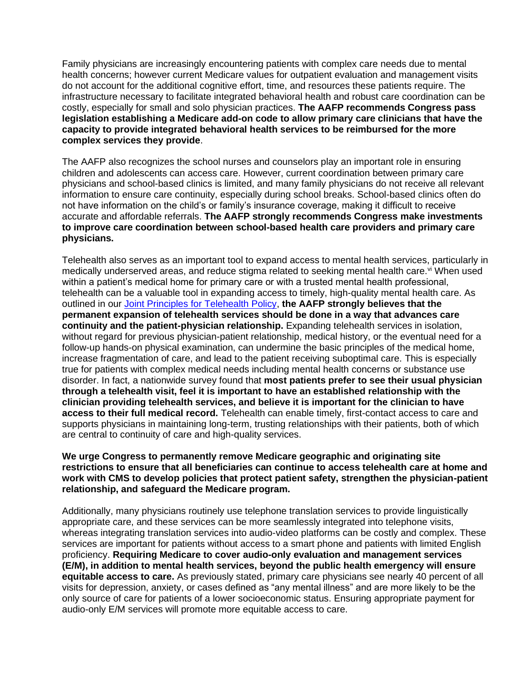Family physicians are increasingly encountering patients with complex care needs due to mental health concerns; however current Medicare values for outpatient evaluation and management visits do not account for the additional cognitive effort, time, and resources these patients require. The infrastructure necessary to facilitate integrated behavioral health and robust care coordination can be costly, especially for small and solo physician practices. **The AAFP recommends Congress pass legislation establishing a Medicare add-on code to allow primary care clinicians that have the capacity to provide integrated behavioral health services to be reimbursed for the more complex services they provide**.

The AAFP also recognizes the school nurses and counselors play an important role in ensuring children and adolescents can access care. However, current coordination between primary care physicians and school-based clinics is limited, and many family physicians do not receive all relevant information to ensure care continuity, especially during school breaks. School-based clinics often do not have information on the child's or family's insurance coverage, making it difficult to receive accurate and affordable referrals. **The AAFP strongly recommends Congress make investments to improve care coordination between school-based health care providers and primary care physicians.**

Telehealth also serves as an important tool to expand access to mental health services, particularly in medically underserved areas, and reduce stigma related to seeking mental health care.<sup>vi</sup> When used within a patient's medical home for primary care or with a trusted mental health professional, telehealth can be a valuable tool in expanding access to timely, high-quality mental health care. As outlined in our [Joint Principles for Telehealth Policy,](https://www.aafp.org/dam/AAFP/documents/advocacy/health_it/telehealth/LT-Congress-TelehealthHELP-070120.pdf) **the AAFP strongly believes that the permanent expansion of telehealth services should be done in a way that advances care continuity and the patient-physician relationship.** Expanding telehealth services in isolation, without regard for previous physician-patient relationship, medical history, or the eventual need for a follow-up hands-on physical examination, can undermine the basic principles of the medical home, increase fragmentation of care, and lead to the patient receiving suboptimal care. This is especially true for patients with complex medical needs including mental health concerns or substance use disorder. In fact, a nationwide survey found that **most patients prefer to see their usual physician through a telehealth visit, feel it is important to have an established relationship with the clinician providing telehealth services, and believe it is important for the clinician to have access to their full medical record.** Telehealth can enable timely, first-contact access to care and supports physicians in maintaining long-term, trusting relationships with their patients, both of which are central to continuity of care and high-quality services.

## **We urge Congress to permanently remove Medicare geographic and originating site restrictions to ensure that all beneficiaries can continue to access telehealth care at home and work with CMS to develop policies that protect patient safety, strengthen the physician-patient relationship, and safeguard the Medicare program.**

Additionally, many physicians routinely use telephone translation services to provide linguistically appropriate care, and these services can be more seamlessly integrated into telephone visits, whereas integrating translation services into audio-video platforms can be costly and complex. These services are important for patients without access to a smart phone and patients with limited English proficiency. **Requiring Medicare to cover audio-only evaluation and management services (E/M), in addition to mental health services, beyond the public health emergency will ensure equitable access to care.** As previously stated, primary care physicians see nearly 40 percent of all visits for depression, anxiety, or cases defined as "any mental illness" and are more likely to be the only source of care for patients of a lower socioeconomic status. Ensuring appropriate payment for audio-only E/M services will promote more equitable access to care.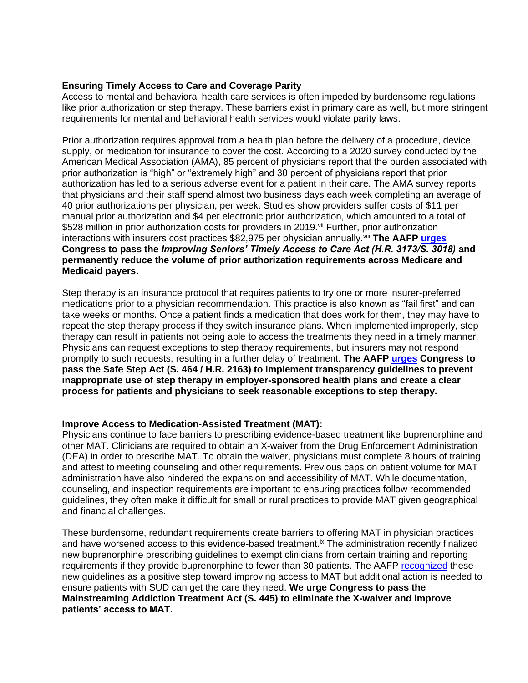# **Ensuring Timely Access to Care and Coverage Parity**

Access to mental and behavioral health care services is often impeded by burdensome regulations like prior authorization or step therapy. These barriers exist in primary care as well, but more stringent requirements for mental and behavioral health services would violate parity laws.

Prior authorization requires approval from a health plan before the delivery of a procedure, device, supply, or medication for insurance to cover the cost. According to a 2020 survey conducted by the American Medical Association (AMA), 85 percent of physicians report that the burden associated with prior authorization is "high" or "extremely high" and 30 percent of physicians report that prior authorization has led to a serious adverse event for a patient in their care. The AMA survey reports that physicians and their staff spend almost two business days each week completing an average of 40 prior authorizations per physician, per week. Studies show providers suffer costs of \$11 per manual prior authorization and \$4 per electronic prior authorization, which amounted to a total of \$528 million in prior authorization costs for providers in 2019.<sup>vii</sup> Further, prior authorization interactions with insurers cost practices \$82,975 per physician annually.viii **The AAFP [urges](https://www.regrelief.org/wp-content/uploads/2021/05/RRC-FINAL-PRESS-RELEASE-HOUSE-BILL-INTRO-D0948815.pdf) Congress to pass the** *Improving Seniors' Timely Access to Care Act (H.R. 3173/S. 3018)* **and permanently reduce the volume of prior authorization requirements across Medicare and Medicaid payers.** 

Step therapy is an insurance protocol that requires patients to try one or more insurer-preferred medications prior to a physician recommendation. This practice is also known as "fail first" and can take weeks or months. Once a patient finds a medication that does work for them, they may have to repeat the step therapy process if they switch insurance plans. When implemented improperly, step therapy can result in patients not being able to access the treatments they need in a timely manner. Physicians can request exceptions to step therapy requirements, but insurers may not respond promptly to such requests, resulting in a further delay of treatment. **The AAFP [urges](https://www.aafp.org/dam/AAFP/documents/advocacy/legal/administrative/LT-SupportingSafeStepAct-051921.pdf) Congress to pass the Safe Step Act (S. 464 / H.R. 2163) to implement transparency guidelines to prevent inappropriate use of step therapy in employer-sponsored health plans and create a clear process for patients and physicians to seek reasonable exceptions to step therapy.**

# **Improve Access to Medication-Assisted Treatment (MAT):**

Physicians continue to face barriers to prescribing evidence-based treatment like buprenorphine and other MAT. Clinicians are required to obtain an X-waiver from the Drug Enforcement Administration (DEA) in order to prescribe MAT. To obtain the waiver, physicians must complete 8 hours of training and attest to meeting counseling and other requirements. Previous caps on patient volume for MAT administration have also hindered the expansion and accessibility of MAT. While documentation, counseling, and inspection requirements are important to ensuring practices follow recommended guidelines, they often make it difficult for small or rural practices to provide MAT given geographical and financial challenges.

These burdensome, redundant requirements create barriers to offering MAT in physician practices and have worsened access to this evidence-based treatment.<sup>ix</sup> The administration recently finalized new buprenorphine prescribing guidelines to exempt clinicians from certain training and reporting requirements if they provide buprenorphine to fewer than 30 patients. The AAFP [recognized](https://www.aafp.org/news/media-center/statements/opioid-use-disorder-treatment.html) these new guidelines as a positive step toward improving access to MAT but additional action is needed to ensure patients with SUD can get the care they need. **We urge Congress to pass the Mainstreaming Addiction Treatment Act (S. 445) to eliminate the X-waiver and improve patients' access to MAT.**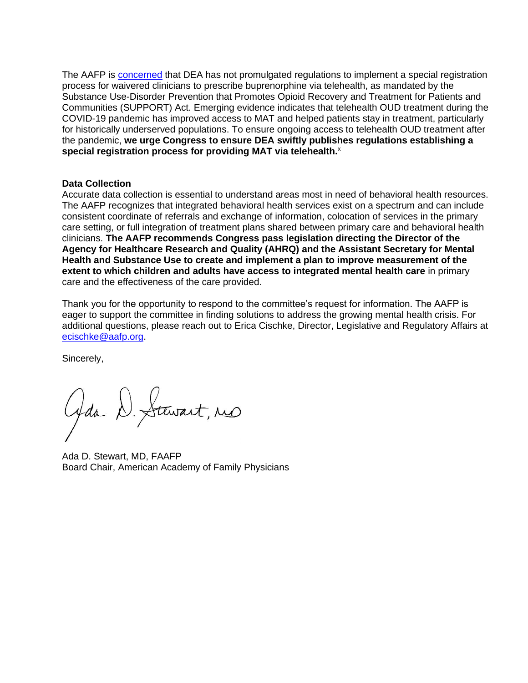The AAFP is [concerned](https://www.aafp.org/dam/AAFP/documents/advocacy/health_it/telehealth/LT-DEA-SpecialTelemedicineRegistration-102620.pdf) that DEA has not promulgated regulations to implement a special registration process for waivered clinicians to prescribe buprenorphine via telehealth, as mandated by the Substance Use-Disorder Prevention that Promotes Opioid Recovery and Treatment for Patients and Communities (SUPPORT) Act. Emerging evidence indicates that telehealth OUD treatment during the COVID-19 pandemic has improved access to MAT and helped patients stay in treatment, particularly for historically underserved populations. To ensure ongoing access to telehealth OUD treatment after the pandemic, **we urge Congress to ensure DEA swiftly publishes regulations establishing a special registration process for providing MAT via telehealth.**<sup>x</sup>

## **Data Collection**

Accurate data collection is essential to understand areas most in need of behavioral health resources. The AAFP recognizes that integrated behavioral health services exist on a spectrum and can include consistent coordinate of referrals and exchange of information, colocation of services in the primary care setting, or full integration of treatment plans shared between primary care and behavioral health clinicians. **The AAFP recommends Congress pass legislation directing the Director of the Agency for Healthcare Research and Quality (AHRQ) and the Assistant Secretary for Mental Health and Substance Use to create and implement a plan to improve measurement of the extent to which children and adults have access to integrated mental health care** in primary care and the effectiveness of the care provided.

Thank you for the opportunity to respond to the committee's request for information. The AAFP is eager to support the committee in finding solutions to address the growing mental health crisis. For additional questions, please reach out to Erica Cischke, Director, Legislative and Regulatory Affairs at [ecischke@aafp.org.](mailto:ecischke@aafp.org)

Sincerely,

Gda D. Stewart, no

Ada D. Stewart, MD, FAAFP Board Chair, American Academy of Family Physicians